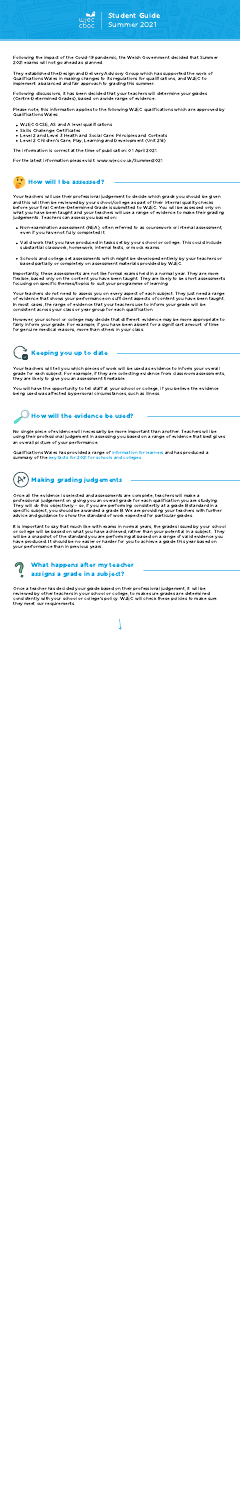Student Guide

Summer 2021

- Non-examination assessment (NEA), often referred to as coursework or internal assessment, even if you have not fully completed it.
- Valid work that you have produced in tasks set by your school or college. This could include substantial classwork, homework, internal tests, or mock exams.
- Schools and college set assessments which might be developed entirely by your teachers or based partially or completely on assessment materials provided by WJEC.

However, your school or college may decide that different evidence may be more appropriate to fairly inform your grade. For example, if you have been absent for a significant amount of time for genuine medical reasons, more than others in your class.



Your teachers will use their professional judgement to decide which grade you should be given and this will then be reviewed by your school/college as part of their internal quality checks before your final Centre-Determined Grade is submitted to WJEC. You will be assessed only on what you have been taught and your teachers will use a range of evidence to make their grading judgements. Teachers can assess you based on:

Importantly, these assessments are not like formal exams held in a normal year. They are more flexible, based only on the content you have been taught. They are likely to be short assessments focusing on specific themes/topics to suit your programme of learning.

Your teachers do not need to assess you on every aspect of each subject. They just need a range of evidence that shows your performance on sufficient aspects of content you have been taught. In most cases, the range of evidence that your teachers use to inform your grade will be consistent across your class or year group for each qualification.

- WJEC GCSE, AS and A level qualifications
- Skills Challenge Certificates
- Level 2 and Level 3 Health and Social Care: Principles and Contexts
- Level 2 Children's Care, Play, Learning and Development (Unit 216)

For the latest information please visit: [www.wjec.co.uk/Summer2021](http://www.wjec.co.uk/Summer2021)

Please note, this information applies to the following WJEC qualifications which are approved by Qualifications Wales:

The information is correct at the time of publication: 01 April 2021.

It is important to say that much like with exams in normal years, the grades issued by your school or college will be based on what you have achieved, rather than your potential in a subject. They will be a snapshot of the standard you are performing at based on a range of valid evidence you have produced. It should be no easier or harder for you to achieve a grade this year based on your performance than in previous years.

Once all the evidence is selected and assessments are complete, teachers will make a professional judgement on giving you an overall grade for each qualification you are studying. They will do this objectively – so, if you are performing consistently at a grade B standard in a specific subject, you should be awarded a grade B. We are providing your teachers with further advice and guidance to show the standard of work expected for particular grades.

Once a teacher has decided your grade based on their professional judgement, it will be reviewed by other teachers in your school or college, to make sure grades are determined consistently with your school or college's policy. WJEC will check these policies to make sure they meet our requirements.

Following discussions, it has been decided that your teachers will determine your grades (Centre-Determined Grades), based on a wide range of evidence.



They established the Design and Delivery Advisory Group which has supported the work of Qualifications Wales in making changes to its regulations for qualifications, and WJEC to implement a balanced and fair approach to grading this summer.

You will have the opportunity to tell staff at your school or college, if you believe the evidence being used was affected by personal circumstances, such as illness.

Your teachers will tell you which pieces of work will be used as evidence to inform your overall grade for each subject. For example, if they are collecting evidence from classroom assessments, they are likely to give you an assessment timetable.

Qualifications Wales has provided a range of [information](https://www.qualificationswales.org/english/awarding-2021/information-for-learners/) for learners and has produced a summary of the key facts for 2021 for schools and [colleges.](https://www.qualificationswales.org/media/7269/key-facts-for-2021-1.pdf)



No single piece of evidence will necessarily be more important than another. Teachers will be using their professional judgement in assessing you based on a range of evidence that best gives an overall picture of your performance.



# Keeping you up to date



# Making grading judgements